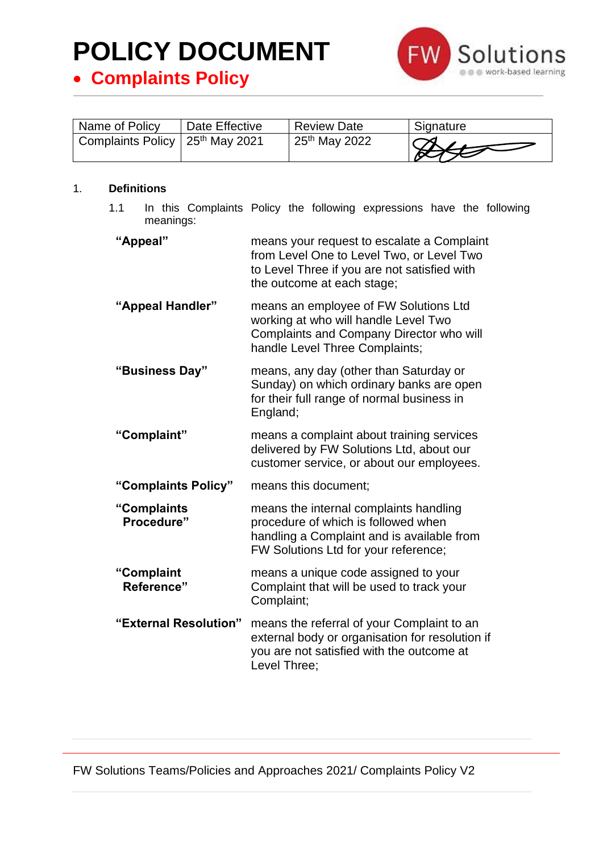• **Complaints Policy**



| Name of Policy                                | Date Effective | <b>Review Date</b>        | Signature     |
|-----------------------------------------------|----------------|---------------------------|---------------|
| Complaints Policy   25 <sup>th</sup> May 2021 |                | 25 <sup>th</sup> May 2022 | $\frac{1}{2}$ |

#### 1. **Definitions**

1.1 In this Complaints Policy the following expressions have the following meanings:

| "Appeal"                  | means your request to escalate a Complaint<br>from Level One to Level Two, or Level Two<br>to Level Three if you are not satisfied with<br>the outcome at each stage; |
|---------------------------|-----------------------------------------------------------------------------------------------------------------------------------------------------------------------|
| "Appeal Handler"          | means an employee of FW Solutions Ltd<br>working at who will handle Level Two<br>Complaints and Company Director who will<br>handle Level Three Complaints;           |
| "Business Day"            | means, any day (other than Saturday or<br>Sunday) on which ordinary banks are open<br>for their full range of normal business in<br>England;                          |
| "Complaint"               | means a complaint about training services<br>delivered by FW Solutions Ltd, about our<br>customer service, or about our employees.                                    |
| "Complaints Policy"       | means this document;                                                                                                                                                  |
| "Complaints<br>Procedure" | means the internal complaints handling<br>procedure of which is followed when<br>handling a Complaint and is available from<br>FW Solutions Ltd for your reference;   |
| "Complaint<br>Reference"  | means a unique code assigned to your<br>Complaint that will be used to track your<br>Complaint;                                                                       |
| "External Resolution"     | means the referral of your Complaint to an<br>external body or organisation for resolution if<br>you are not satisfied with the outcome at<br>Level Three;            |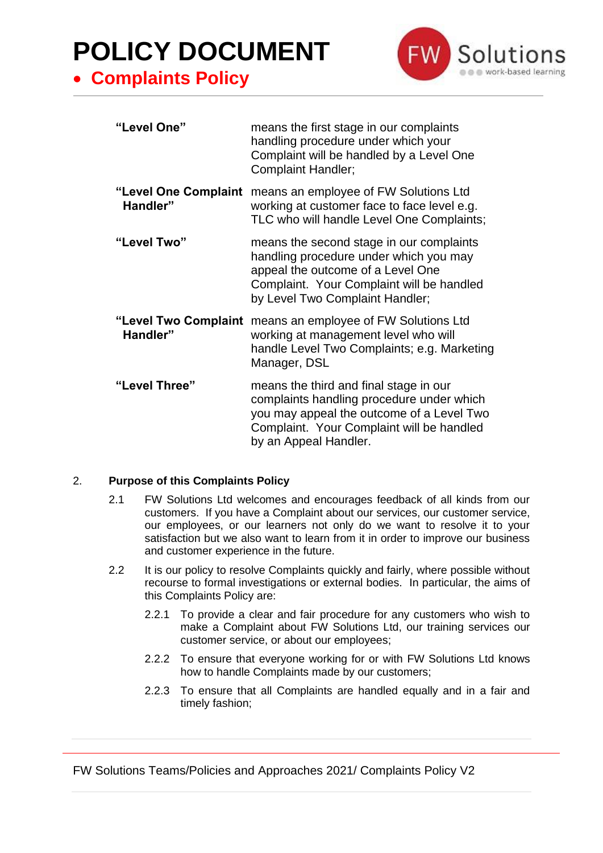• **Complaints Policy**



| "Level One"                      | means the first stage in our complaints<br>handling procedure under which your<br>Complaint will be handled by a Level One<br><b>Complaint Handler;</b>                                                 |
|----------------------------------|---------------------------------------------------------------------------------------------------------------------------------------------------------------------------------------------------------|
| "Level One Complaint<br>Handler" | means an employee of FW Solutions Ltd<br>working at customer face to face level e.g.<br>TLC who will handle Level One Complaints;                                                                       |
| "Level Two"                      | means the second stage in our complaints<br>handling procedure under which you may<br>appeal the outcome of a Level One<br>Complaint. Your Complaint will be handled<br>by Level Two Complaint Handler; |
| "Level Two Complaint<br>Handler" | means an employee of FW Solutions Ltd<br>working at management level who will<br>handle Level Two Complaints; e.g. Marketing<br>Manager, DSL                                                            |
| "Level Three"                    | means the third and final stage in our<br>complaints handling procedure under which<br>you may appeal the outcome of a Level Two<br>Complaint. Your Complaint will be handled<br>by an Appeal Handler.  |

#### 2. **Purpose of this Complaints Policy**

- 2.1 FW Solutions Ltd welcomes and encourages feedback of all kinds from our customers. If you have a Complaint about our services, our customer service, our employees, or our learners not only do we want to resolve it to your satisfaction but we also want to learn from it in order to improve our business and customer experience in the future.
- 2.2 It is our policy to resolve Complaints quickly and fairly, where possible without recourse to formal investigations or external bodies. In particular, the aims of this Complaints Policy are:
	- 2.2.1 To provide a clear and fair procedure for any customers who wish to make a Complaint about FW Solutions Ltd, our training services our customer service, or about our employees;
	- 2.2.2 To ensure that everyone working for or with FW Solutions Ltd knows how to handle Complaints made by our customers;
	- 2.2.3 To ensure that all Complaints are handled equally and in a fair and timely fashion;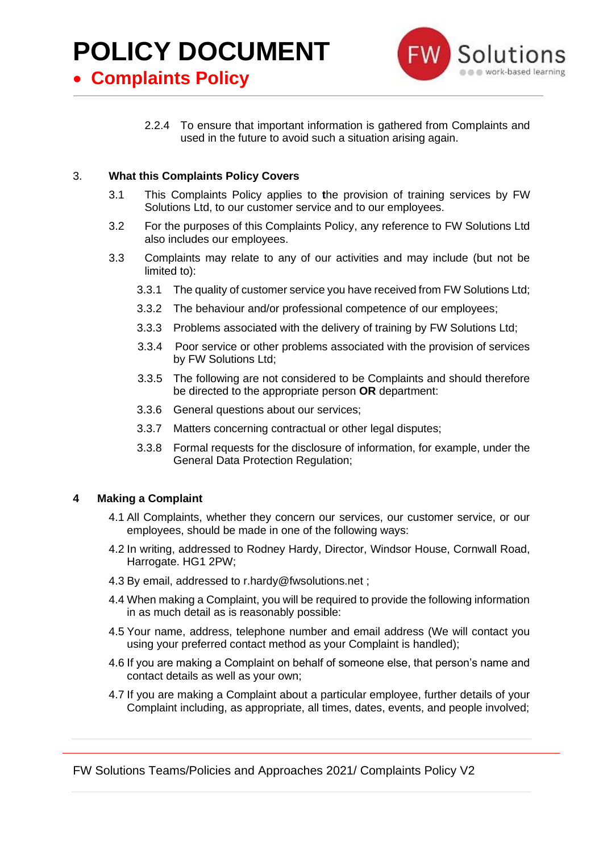• **Complaints Policy**



2.2.4 To ensure that important information is gathered from Complaints and used in the future to avoid such a situation arising again.

#### 3. **What this Complaints Policy Covers**

- 3.1 This Complaints Policy applies to **t**he provision of training services by FW Solutions Ltd, to our customer service and to our employees.
- 3.2 For the purposes of this Complaints Policy, any reference to FW Solutions Ltd also includes our employees.
- 3.3 Complaints may relate to any of our activities and may include (but not be limited to):
	- 3.3.1 The quality of customer service you have received from FW Solutions Ltd;
	- 3.3.2 The behaviour and/or professional competence of our employees;
	- 3.3.3 Problems associated with the delivery of training by FW Solutions Ltd;
	- 3.3.4 Poor service or other problems associated with the provision of services by FW Solutions Ltd;
	- 3.3.5 The following are not considered to be Complaints and should therefore be directed to the appropriate person **OR** department:
	- 3.3.6 General questions about our services;
	- 3.3.7 Matters concerning contractual or other legal disputes;
	- 3.3.8 Formal requests for the disclosure of information, for example, under the General Data Protection Regulation;

#### **4 Making a Complaint**

- 4.1 All Complaints, whether they concern our services, our customer service, or our employees, should be made in one of the following ways:
- 4.2 In writing, addressed to Rodney Hardy, Director, Windsor House, Cornwall Road, Harrogate. HG1 2PW;
- 4.3 By email, addressed to r.hardy@fwsolutions.net ;
- 4.4 When making a Complaint, you will be required to provide the following information in as much detail as is reasonably possible:
- 4.5 Your name, address, telephone number and email address (We will contact you using your preferred contact method as your Complaint is handled);
- 4.6 If you are making a Complaint on behalf of someone else, that person's name and contact details as well as your own;
- 4.7 If you are making a Complaint about a particular employee, further details of your Complaint including, as appropriate, all times, dates, events, and people involved;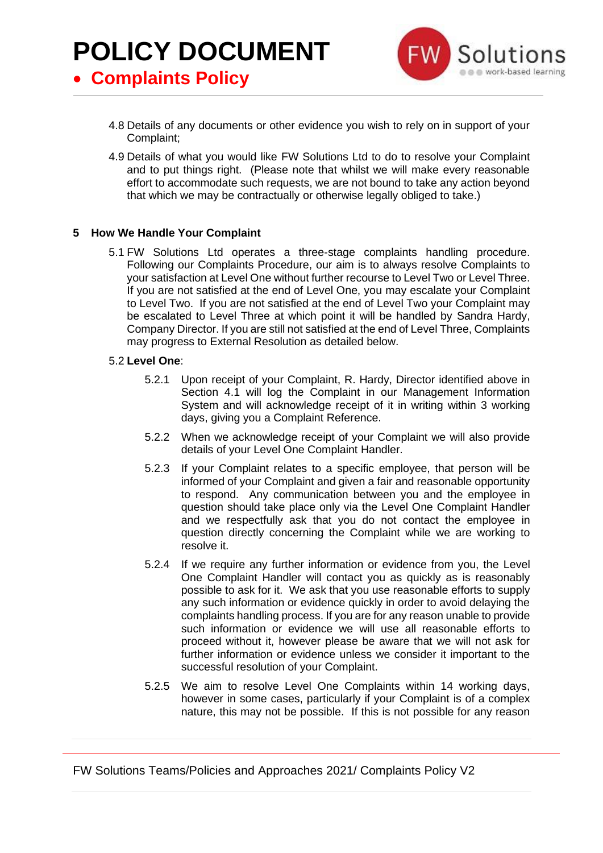• **Complaints Policy**



- 4.8 Details of any documents or other evidence you wish to rely on in support of your Complaint;
- 4.9 Details of what you would like FW Solutions Ltd to do to resolve your Complaint and to put things right. (Please note that whilst we will make every reasonable effort to accommodate such requests, we are not bound to take any action beyond that which we may be contractually or otherwise legally obliged to take.)

#### **5 How We Handle Your Complaint**

5.1 FW Solutions Ltd operates a three-stage complaints handling procedure. Following our Complaints Procedure, our aim is to always resolve Complaints to your satisfaction at Level One without further recourse to Level Two or Level Three. If you are not satisfied at the end of Level One, you may escalate your Complaint to Level Two. If you are not satisfied at the end of Level Two your Complaint may be escalated to Level Three at which point it will be handled by Sandra Hardy, Company Director. If you are still not satisfied at the end of Level Three, Complaints may progress to External Resolution as detailed below.

#### 5.2 **Level One**:

- 5.2.1 Upon receipt of your Complaint, R. Hardy, Director identified above in Section 4.1 will log the Complaint in our Management Information System and will acknowledge receipt of it in writing within 3 working days, giving you a Complaint Reference.
- 5.2.2 When we acknowledge receipt of your Complaint we will also provide details of your Level One Complaint Handler.
- 5.2.3 If your Complaint relates to a specific employee, that person will be informed of your Complaint and given a fair and reasonable opportunity to respond. Any communication between you and the employee in question should take place only via the Level One Complaint Handler and we respectfully ask that you do not contact the employee in question directly concerning the Complaint while we are working to resolve it.
- 5.2.4 If we require any further information or evidence from you, the Level One Complaint Handler will contact you as quickly as is reasonably possible to ask for it. We ask that you use reasonable efforts to supply any such information or evidence quickly in order to avoid delaying the complaints handling process. If you are for any reason unable to provide such information or evidence we will use all reasonable efforts to proceed without it, however please be aware that we will not ask for further information or evidence unless we consider it important to the successful resolution of your Complaint.
- 5.2.5 We aim to resolve Level One Complaints within 14 working days, however in some cases, particularly if your Complaint is of a complex nature, this may not be possible. If this is not possible for any reason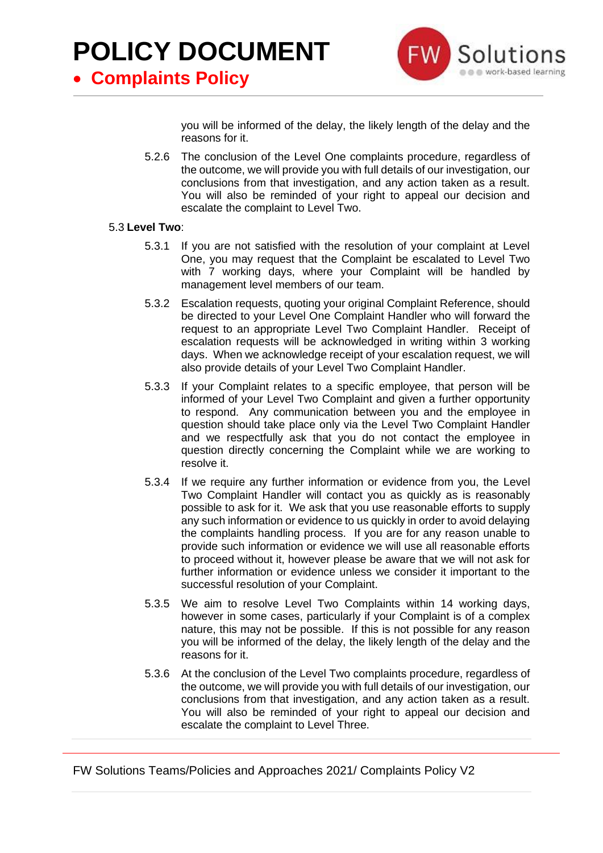• **Complaints Policy**



you will be informed of the delay, the likely length of the delay and the reasons for it.

5.2.6 The conclusion of the Level One complaints procedure, regardless of the outcome, we will provide you with full details of our investigation, our conclusions from that investigation, and any action taken as a result. You will also be reminded of your right to appeal our decision and escalate the complaint to Level Two.

#### 5.3 **Level Two**:

- 5.3.1 If you are not satisfied with the resolution of your complaint at Level One, you may request that the Complaint be escalated to Level Two with 7 working days, where your Complaint will be handled by management level members of our team.
- 5.3.2 Escalation requests, quoting your original Complaint Reference, should be directed to your Level One Complaint Handler who will forward the request to an appropriate Level Two Complaint Handler. Receipt of escalation requests will be acknowledged in writing within 3 working days. When we acknowledge receipt of your escalation request, we will also provide details of your Level Two Complaint Handler.
- 5.3.3 If your Complaint relates to a specific employee, that person will be informed of your Level Two Complaint and given a further opportunity to respond. Any communication between you and the employee in question should take place only via the Level Two Complaint Handler and we respectfully ask that you do not contact the employee in question directly concerning the Complaint while we are working to resolve it.
- 5.3.4 If we require any further information or evidence from you, the Level Two Complaint Handler will contact you as quickly as is reasonably possible to ask for it. We ask that you use reasonable efforts to supply any such information or evidence to us quickly in order to avoid delaying the complaints handling process. If you are for any reason unable to provide such information or evidence we will use all reasonable efforts to proceed without it, however please be aware that we will not ask for further information or evidence unless we consider it important to the successful resolution of your Complaint.
- 5.3.5 We aim to resolve Level Two Complaints within 14 working days, however in some cases, particularly if your Complaint is of a complex nature, this may not be possible. If this is not possible for any reason you will be informed of the delay, the likely length of the delay and the reasons for it.
- 5.3.6 At the conclusion of the Level Two complaints procedure, regardless of the outcome, we will provide you with full details of our investigation, our conclusions from that investigation, and any action taken as a result. You will also be reminded of your right to appeal our decision and escalate the complaint to Level Three.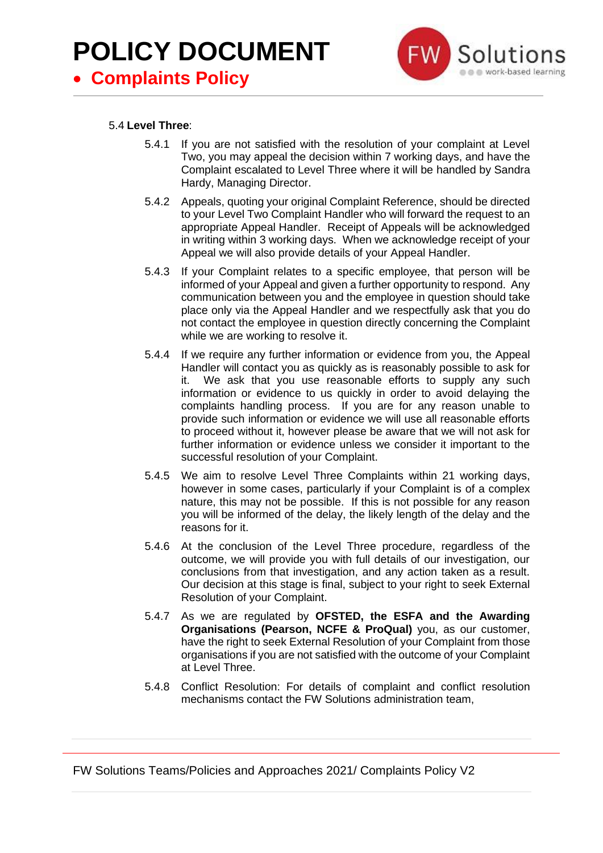

#### 5.4 **Level Three**:

- 5.4.1 If you are not satisfied with the resolution of your complaint at Level Two, you may appeal the decision within 7 working days, and have the Complaint escalated to Level Three where it will be handled by Sandra Hardy, Managing Director.
- 5.4.2 Appeals, quoting your original Complaint Reference, should be directed to your Level Two Complaint Handler who will forward the request to an appropriate Appeal Handler. Receipt of Appeals will be acknowledged in writing within 3 working days. When we acknowledge receipt of your Appeal we will also provide details of your Appeal Handler.
- 5.4.3 If your Complaint relates to a specific employee, that person will be informed of your Appeal and given a further opportunity to respond. Any communication between you and the employee in question should take place only via the Appeal Handler and we respectfully ask that you do not contact the employee in question directly concerning the Complaint while we are working to resolve it.
- 5.4.4 If we require any further information or evidence from you, the Appeal Handler will contact you as quickly as is reasonably possible to ask for it. We ask that you use reasonable efforts to supply any such information or evidence to us quickly in order to avoid delaying the complaints handling process. If you are for any reason unable to provide such information or evidence we will use all reasonable efforts to proceed without it, however please be aware that we will not ask for further information or evidence unless we consider it important to the successful resolution of your Complaint.
- 5.4.5 We aim to resolve Level Three Complaints within 21 working days, however in some cases, particularly if your Complaint is of a complex nature, this may not be possible. If this is not possible for any reason you will be informed of the delay, the likely length of the delay and the reasons for it.
- 5.4.6 At the conclusion of the Level Three procedure, regardless of the outcome, we will provide you with full details of our investigation, our conclusions from that investigation, and any action taken as a result. Our decision at this stage is final, subject to your right to seek External Resolution of your Complaint.
- 5.4.7 As we are regulated by **OFSTED, the ESFA and the Awarding Organisations (Pearson, NCFE & ProQual)** you, as our customer, have the right to seek External Resolution of your Complaint from those organisations if you are not satisfied with the outcome of your Complaint at Level Three.
- 5.4.8 Conflict Resolution: For details of complaint and conflict resolution mechanisms contact the FW Solutions administration team,